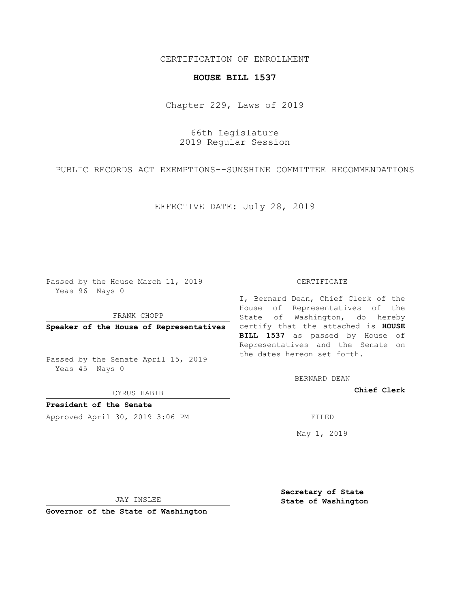## CERTIFICATION OF ENROLLMENT

## **HOUSE BILL 1537**

Chapter 229, Laws of 2019

66th Legislature 2019 Regular Session

PUBLIC RECORDS ACT EXEMPTIONS--SUNSHINE COMMITTEE RECOMMENDATIONS

EFFECTIVE DATE: July 28, 2019

Passed by the House March 11, 2019 Yeas 96 Nays 0

FRANK CHOPP

Passed by the Senate April 15, 2019 Yeas 45 Nays 0

CYRUS HABIB

**President of the Senate**

Approved April 30, 2019 3:06 PM FILED

## CERTIFICATE

**Speaker of the House of Representatives** certify that the attached is **HOUSE** I, Bernard Dean, Chief Clerk of the House of Representatives of the State of Washington, do hereby **BILL 1537** as passed by House of Representatives and the Senate on the dates hereon set forth.

BERNARD DEAN

**Chief Clerk**

May 1, 2019

JAY INSLEE

**Governor of the State of Washington**

**Secretary of State State of Washington**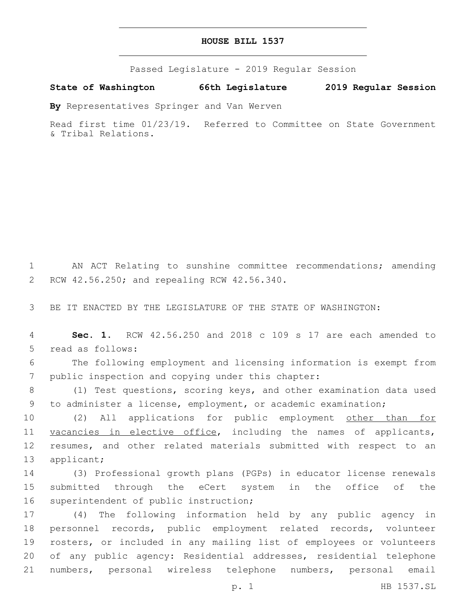| HOUSE BILL 1537 |  |  |
|-----------------|--|--|
|-----------------|--|--|

Passed Legislature - 2019 Regular Session

**State of Washington 66th Legislature 2019 Regular Session**

**By** Representatives Springer and Van Werven

Read first time 01/23/19. Referred to Committee on State Government & Tribal Relations.

1 AN ACT Relating to sunshine committee recommendations; amending 2 RCW 42.56.250; and repealing RCW 42.56.340.

3 BE IT ENACTED BY THE LEGISLATURE OF THE STATE OF WASHINGTON:

4 **Sec. 1.** RCW 42.56.250 and 2018 c 109 s 17 are each amended to 5 read as follows:

6 The following employment and licensing information is exempt from 7 public inspection and copying under this chapter:

8 (1) Test questions, scoring keys, and other examination data used 9 to administer a license, employment, or academic examination;

10 (2) All applications for public employment other than for 11 vacancies in elective office, including the names of applicants, 12 resumes, and other related materials submitted with respect to an 13 applicant;

14 (3) Professional growth plans (PGPs) in educator license renewals 15 submitted through the eCert system in the office of the 16 superintendent of public instruction;

 (4) The following information held by any public agency in personnel records, public employment related records, volunteer rosters, or included in any mailing list of employees or volunteers of any public agency: Residential addresses, residential telephone numbers, personal wireless telephone numbers, personal email

p. 1 HB 1537.SL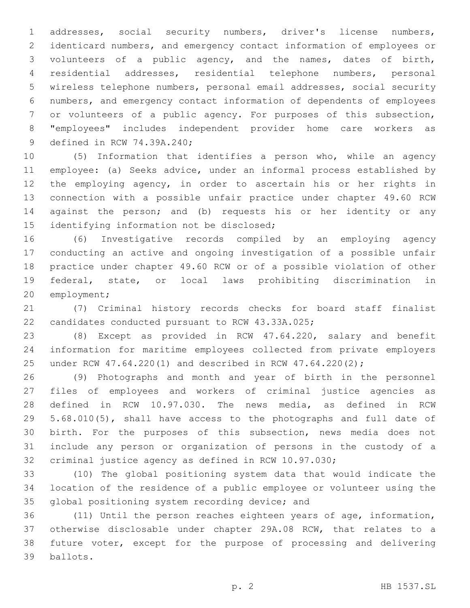addresses, social security numbers, driver's license numbers, identicard numbers, and emergency contact information of employees or volunteers of a public agency, and the names, dates of birth, residential addresses, residential telephone numbers, personal wireless telephone numbers, personal email addresses, social security numbers, and emergency contact information of dependents of employees or volunteers of a public agency. For purposes of this subsection, "employees" includes independent provider home care workers as 9 defined in RCW 74.39A.240;

 (5) Information that identifies a person who, while an agency employee: (a) Seeks advice, under an informal process established by the employing agency, in order to ascertain his or her rights in connection with a possible unfair practice under chapter 49.60 RCW against the person; and (b) requests his or her identity or any 15 identifying information not be disclosed;

 (6) Investigative records compiled by an employing agency conducting an active and ongoing investigation of a possible unfair practice under chapter 49.60 RCW or of a possible violation of other federal, state, or local laws prohibiting discrimination in 20 employment;

 (7) Criminal history records checks for board staff finalist 22 candidates conducted pursuant to RCW 43.33A.025;

 (8) Except as provided in RCW 47.64.220, salary and benefit information for maritime employees collected from private employers under RCW 47.64.220(1) and described in RCW 47.64.220(2);

 (9) Photographs and month and year of birth in the personnel files of employees and workers of criminal justice agencies as defined in RCW 10.97.030. The news media, as defined in RCW 5.68.010(5), shall have access to the photographs and full date of birth. For the purposes of this subsection, news media does not include any person or organization of persons in the custody of a criminal justice agency as defined in RCW 10.97.030;

 (10) The global positioning system data that would indicate the location of the residence of a public employee or volunteer using the 35 global positioning system recording device; and

 (11) Until the person reaches eighteen years of age, information, otherwise disclosable under chapter 29A.08 RCW, that relates to a future voter, except for the purpose of processing and delivering ballots.39